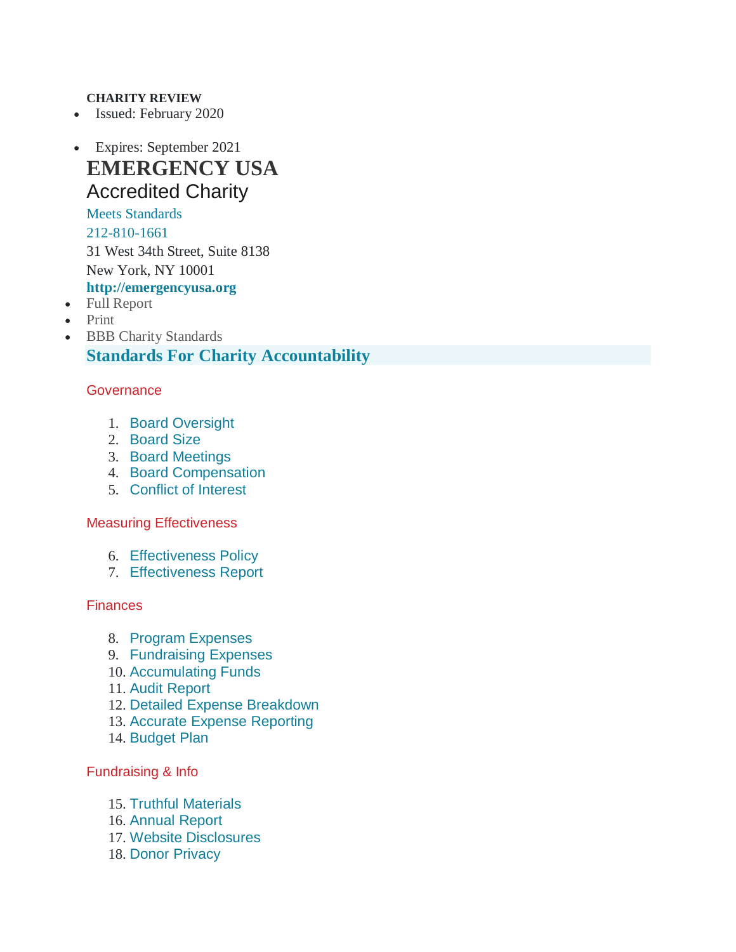### **CHARITY REVIEW**

- Issued: February 2020
- Expires: September 2021 **EMERGENCY USA** Accredited Charity

# Meets Standards

[212-810-1661](tel:212-810-1661) 31 West 34th Street, Suite 8138 New York, NY 10001

### **[http://emergencyusa.org](http://emergencyusa.org/)**

- Full [Report](https://give.org/charity-reviews/national/Health/EMERGENCY-USA-in-New-York-ny-52556)
- [Print](https://give.org/charity-reviews/national/Health/EMERGENCY-USA-in-New-York-ny-52556)
- BBB Charity [Standards](https://give.org/donor-landing-page/bbb-standards-for-charity-accountability) **Standards For Charity Accountability**

### **Governance**

- 1. Board [Oversight](https://give.org/charity-reviews/national/Health/EMERGENCY-USA-in-New-York-ny-52556)
- 2. [Board](https://give.org/charity-reviews/national/Health/EMERGENCY-USA-in-New-York-ny-52556) Size
- 3. Board [Meetings](https://give.org/charity-reviews/national/Health/EMERGENCY-USA-in-New-York-ny-52556)
- 4. Board [Compensation](https://give.org/charity-reviews/national/Health/EMERGENCY-USA-in-New-York-ny-52556)
- 5. [Conflict](https://give.org/charity-reviews/national/Health/EMERGENCY-USA-in-New-York-ny-52556) of Interest

#### Measuring Effectiveness

- 6. [Effectiveness](https://give.org/charity-reviews/national/Health/EMERGENCY-USA-in-New-York-ny-52556) Policy
- 7. [Effectiveness](https://give.org/charity-reviews/national/Health/EMERGENCY-USA-in-New-York-ny-52556) Report

#### **Finances**

- 8. Program [Expenses](https://give.org/charity-reviews/national/Health/EMERGENCY-USA-in-New-York-ny-52556)
- 9. [Fundraising](https://give.org/charity-reviews/national/Health/EMERGENCY-USA-in-New-York-ny-52556) Expenses
- 10. [Accumulating](https://give.org/charity-reviews/national/Health/EMERGENCY-USA-in-New-York-ny-52556) Funds
- 11. Audit [Report](https://give.org/charity-reviews/national/Health/EMERGENCY-USA-in-New-York-ny-52556)
- 12. Detailed Expense [Breakdown](https://give.org/charity-reviews/national/Health/EMERGENCY-USA-in-New-York-ny-52556)
- 13. Accurate Expense [Reporting](https://give.org/charity-reviews/national/Health/EMERGENCY-USA-in-New-York-ny-52556)
- 14. [Budget](https://give.org/charity-reviews/national/Health/EMERGENCY-USA-in-New-York-ny-52556) Plan

#### Fundraising & Info

- 15. Truthful [Materials](https://give.org/charity-reviews/national/Health/EMERGENCY-USA-in-New-York-ny-52556)
- 16. [Annual](https://give.org/charity-reviews/national/Health/EMERGENCY-USA-in-New-York-ny-52556) Report
- 17. Website [Disclosures](https://give.org/charity-reviews/national/Health/EMERGENCY-USA-in-New-York-ny-52556)
- 18. Donor [Privacy](https://give.org/charity-reviews/national/Health/EMERGENCY-USA-in-New-York-ny-52556)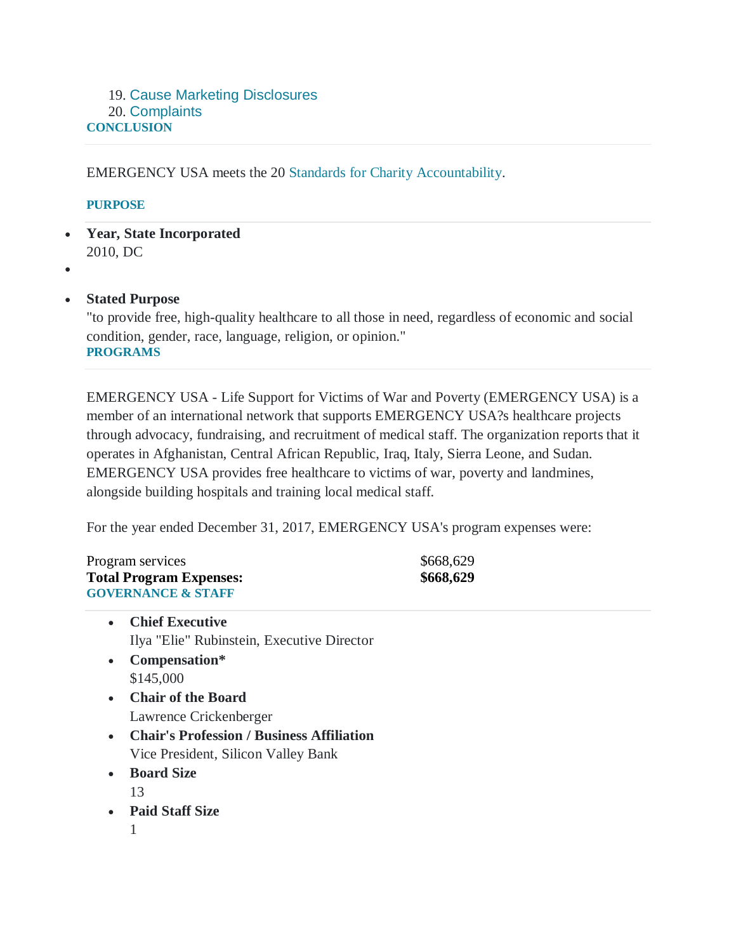### 19. Cause Marketing [Disclosures](https://give.org/charity-reviews/national/Health/EMERGENCY-USA-in-New-York-ny-52556) 20. [Complaints](https://give.org/charity-reviews/national/Health/EMERGENCY-USA-in-New-York-ny-52556) **CONCLUSION**

EMERGENCY USA meets the 20 Standards for Charity [Accountability.](https://give.org/donor-landing-page/bbb-standards-for-charity-accountability)

### **PURPOSE**

- **Year, State Incorporated** 2010, DC
- $\bullet$

### **Stated Purpose**

"to provide free, high-quality healthcare to all those in need, regardless of economic and social condition, gender, race, language, religion, or opinion." **PROGRAMS**

EMERGENCY USA - Life Support for Victims of War and Poverty (EMERGENCY USA) is a member of an international network that supports EMERGENCY USA?s healthcare projects through advocacy, fundraising, and recruitment of medical staff. The organization reports that it operates in Afghanistan, Central African Republic, Iraq, Italy, Sierra Leone, and Sudan. EMERGENCY USA provides free healthcare to victims of war, poverty and landmines, alongside building hospitals and training local medical staff.

For the year ended December 31, 2017, EMERGENCY USA's program expenses were:

Program services  $$668,629$ **Total Program Expenses: \$668,629 GOVERNANCE & STAFF**

- **Chief Executive** Ilya "Elie" Rubinstein, Executive Director
- **Compensation\*** \$145,000
- **Chair of the Board** Lawrence Crickenberger
- **Chair's Profession / Business Affiliation** Vice President, Silicon Valley Bank
- **Board Size**
	- 13
- **Paid Staff Size**
	- 1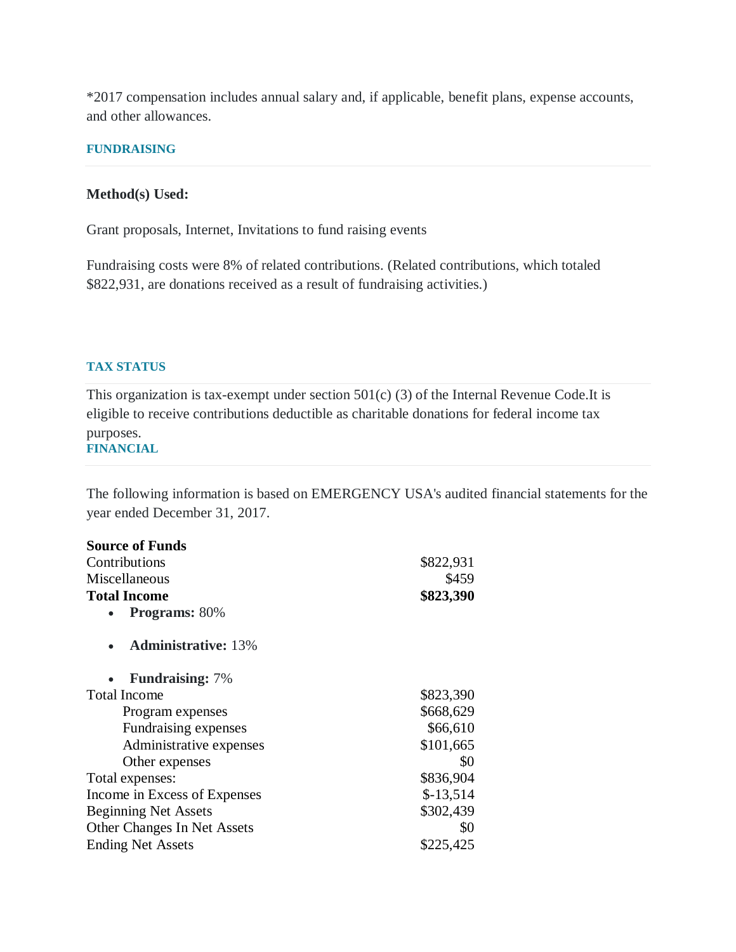\*2017 compensation includes annual salary and, if applicable, benefit plans, expense accounts, and other allowances.

#### **FUNDRAISING**

#### **Method(s) Used:**

Grant proposals, Internet, Invitations to fund raising events

Fundraising costs were 8% of related contributions. (Related contributions, which totaled \$822,931, are donations received as a result of fundraising activities.)

### **TAX STATUS**

This organization is tax-exempt under section  $501(c)$  (3) of the Internal Revenue Code.It is eligible to receive contributions deductible as charitable donations for federal income tax purposes. **FINANCIAL**

The following information is based on EMERGENCY USA's audited financial statements for the year ended December 31, 2017.

| <b>Source of Funds</b>       |            |
|------------------------------|------------|
| Contributions                | \$822,931  |
| Miscellaneous                | \$459      |
| <b>Total Income</b>          | \$823,390  |
| <b>Programs: 80%</b>         |            |
| <b>Administrative: 13%</b>   |            |
| <b>Fundraising:</b> 7%       |            |
| <b>Total Income</b>          | \$823,390  |
| Program expenses             | \$668,629  |
| Fundraising expenses         | \$66,610   |
| Administrative expenses      | \$101,665  |
| Other expenses               | \$0        |
| Total expenses:              | \$836,904  |
| Income in Excess of Expenses | $$-13,514$ |
| <b>Beginning Net Assets</b>  | \$302,439  |
| Other Changes In Net Assets  | \$0        |
| <b>Ending Net Assets</b>     | \$225,425  |